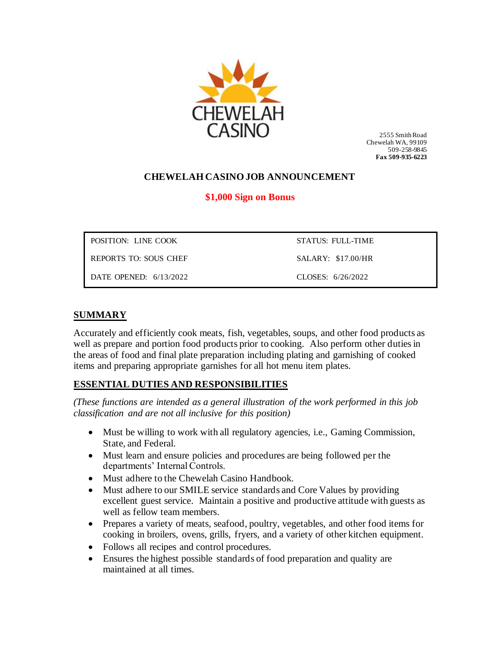

 2555 Smith Road Chewelah WA, 99109 509-258-9845 **Fax 509-935-6223**

## **CHEWELAH CASINO JOB ANNOUNCEMENT**

### **\$1,000 Sign on Bonus**

| POSITION: LINE COOK      | STATUS: FULL-TIME  |
|--------------------------|--------------------|
| REPORTS TO: SOUS CHEF    | SALARY: \$17.00/HR |
| DATE OPENED: $6/13/2022$ | CLOSES: 6/26/2022  |

### **SUMMARY**

Accurately and efficiently cook meats, fish, vegetables, soups, and other food products as well as prepare and portion food products prior to cooking. Also perform other duties in the areas of food and final plate preparation including plating and garnishing of cooked items and preparing appropriate garnishes for all hot menu item plates.

### **ESSENTIAL DUTIES AND RESPONSIBILITIES**

*(These functions are intended as a general illustration of the work performed in this job classification and are not all inclusive for this position)*

- Must be willing to work with all regulatory agencies, i.e., Gaming Commission, State, and Federal.
- Must learn and ensure policies and procedures are being followed per the departments' Internal Controls.
- Must adhere to the Chewelah Casino Handbook.
- Must adhere to our SMILE service standards and Core Values by providing excellent guest service. Maintain a positive and productive attitude with guests as well as fellow team members.
- Prepares a variety of meats, seafood, poultry, vegetables, and other food items for cooking in broilers, ovens, grills, fryers, and a variety of other kitchen equipment.
- Follows all recipes and control procedures.
- Ensures the highest possible standards of food preparation and quality are maintained at all times.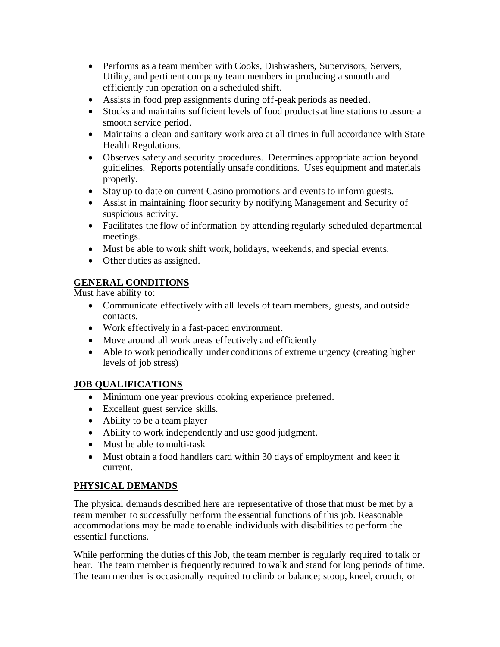- Performs as a team member with Cooks, Dishwashers, Supervisors, Servers, Utility, and pertinent company team members in producing a smooth and efficiently run operation on a scheduled shift.
- Assists in food prep assignments during off-peak periods as needed.
- Stocks and maintains sufficient levels of food products at line stations to assure a smooth service period.
- Maintains a clean and sanitary work area at all times in full accordance with State Health Regulations.
- Observes safety and security procedures. Determines appropriate action beyond guidelines. Reports potentially unsafe conditions. Uses equipment and materials properly.
- Stay up to date on current Casino promotions and events to inform guests.
- Assist in maintaining floor security by notifying Management and Security of suspicious activity.
- Facilitates the flow of information by attending regularly scheduled departmental meetings.
- Must be able to work shift work, holidays, weekends, and special events.
- Other duties as assigned.

# **GENERAL CONDITIONS**

Must have ability to:

- Communicate effectively with all levels of team members, guests, and outside contacts.
- Work effectively in a fast-paced environment.
- Move around all work areas effectively and efficiently
- Able to work periodically under conditions of extreme urgency (creating higher levels of job stress)

## **JOB QUALIFICATIONS**

- Minimum one year previous cooking experience preferred.
- Excellent guest service skills.
- Ability to be a team player
- Ability to work independently and use good judgment.
- Must be able to multi-task
- Must obtain a food handlers card within 30 days of employment and keep it current.

## **PHYSICAL DEMANDS**

The physical demands described here are representative of those that must be met by a team member to successfully perform the essential functions of this job. Reasonable accommodations may be made to enable individuals with disabilities to perform the essential functions.

While performing the duties of this Job, the team member is regularly required to talk or hear. The team member is frequently required to walk and stand for long periods of time. The team member is occasionally required to climb or balance; stoop, kneel, crouch, or